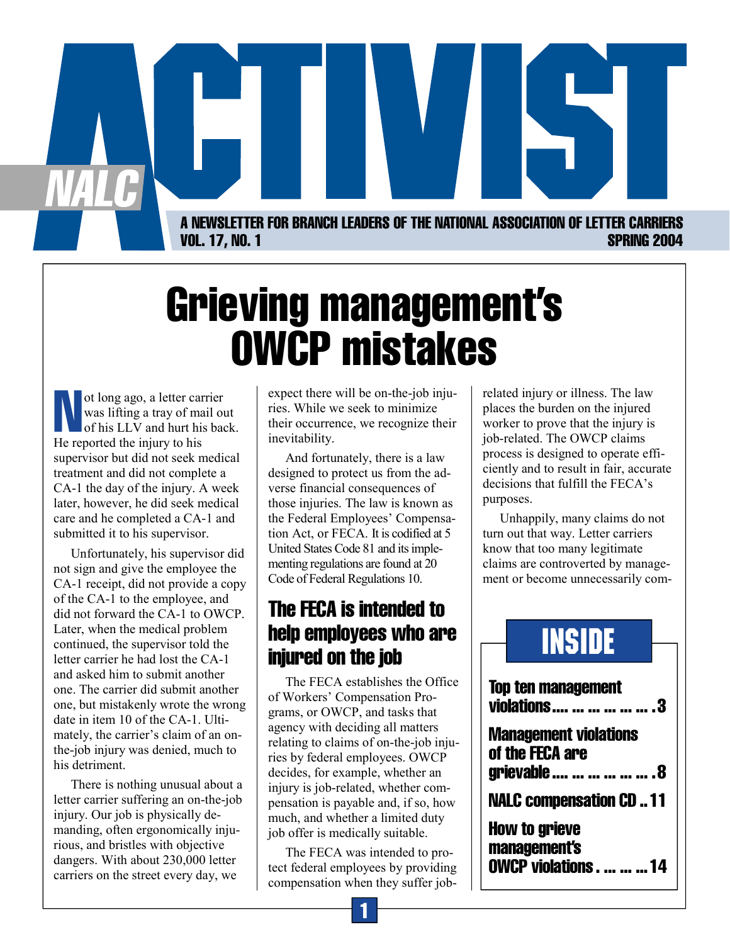

# Grieving management's OWCP mistakes

ot long ago, a letter carrier<br>was lifting a tray of mail ou<br>of his LLV and hurt his bac was lifting a tray of mail out of his LLV and hurt his back. He reported the injury to his supervisor but did not seek medical treatment and did not complete a CA-1 the day of the injury. A week later, however, he did seek medical care and he completed a CA-1 and submitted it to his supervisor.

Unfortunately, his supervisor did not sign and give the employee the CA-1 receipt, did not provide a copy of the CA-1 to the employee, and did not forward the CA-1 to OWCP. Later, when the medical problem continued, the supervisor told the letter carrier he had lost the CA-1 and asked him to submit another one. The carrier did submit another one, but mistakenly wrote the wrong date in item 10 of the CA-1. Ultimately, the carrier's claim of an onthe-job injury was denied, much to his detriment.

There is nothing unusual about a letter carrier suffering an on-the-job injury. Our job is physically demanding, often ergonomically injurious, and bristles with objective dangers. With about 230,000 letter carriers on the street every day, we

expect there will be on-the-job injuries. While we seek to minimize their occurrence, we recognize their inevitability.

And fortunately, there is a law designed to protect us from the adverse financial consequences of those injuries. The law is known as the Federal Employees' Compensation Act, or FECA. It is codified at 5 United States Code 81 and its implementing regulations are found at 20 Code of Federal Regulations 10.

# The FECA is intended to help employees who are injured on the job

The FECA establishes the Office of Workers' Compensation Programs, or OWCP, and tasks that agency with deciding all matters relating to claims of on-the-job injuries by federal employees. OWCP decides, for example, whether an injury is job-related, whether compensation is payable and, if so, how much, and whether a limited duty job offer is medically suitable.

The FECA was intended to protect federal employees by providing compensation when they suffer jobrelated injury or illness. The law places the burden on the injured worker to prove that the injury is job-related. The OWCP claims process is designed to operate efficiently and to result in fair, accurate decisions that fulfill the FECA's purposes.

Unhappily, many claims do not turn out that way. Letter carriers know that too many legitimate claims are controverted by management or become unnecessarily com-

# INSIDE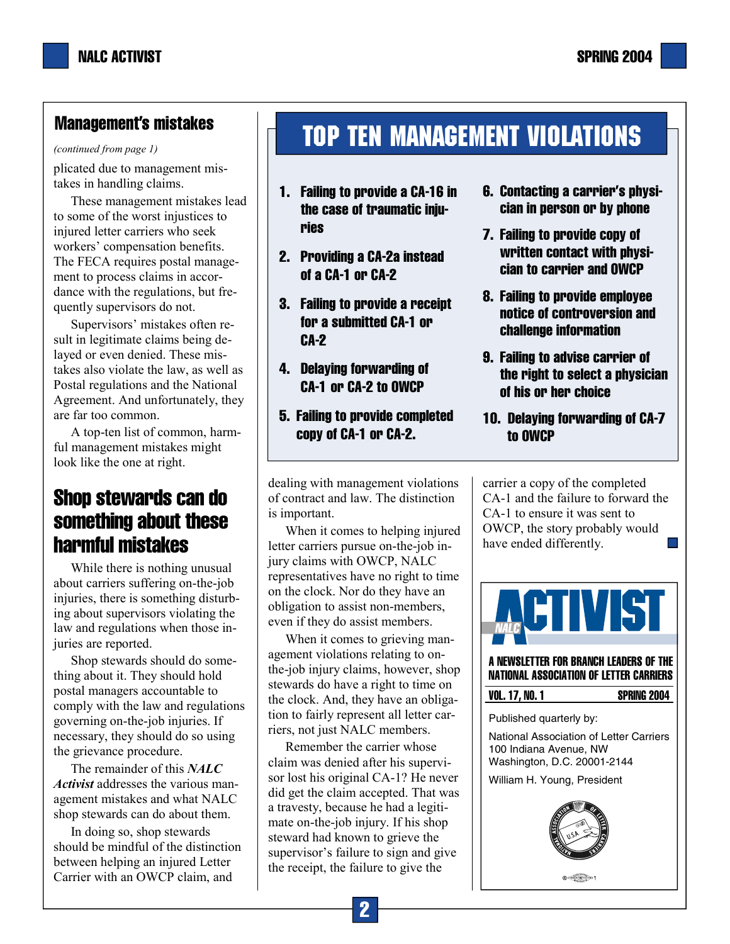## Management's mistakes

*(continued from page 1)* 

plicated due to management mistakes in handling claims.

These management mistakes lead to some of the worst injustices to injured letter carriers who seek workers' compensation benefits. The FECA requires postal management to process claims in accordance with the regulations, but frequently supervisors do not.

Supervisors' mistakes often result in legitimate claims being delayed or even denied. These mistakes also violate the law, as well as Postal regulations and the National Agreement. And unfortunately, they are far too common.

A top-ten list of common, harmful management mistakes might look like the one at right.

# Shop stewards can do something about these harmful mistakes

While there is nothing unusual about carriers suffering on-the-job injuries, there is something disturbing about supervisors violating the law and regulations when those injuries are reported.

Shop stewards should do something about it. They should hold postal managers accountable to comply with the law and regulations governing on-the-job injuries. If necessary, they should do so using the grievance procedure.

The remainder of this *NALC Activist* addresses the various management mistakes and what NALC shop stewards can do about them.

In doing so, shop stewards should be mindful of the distinction between helping an injured Letter Carrier with an OWCP claim, and

# Top Ten Management violations

- 1. Failing to provide a CA-16 in the case of traumatic injuries
- 2. Providing a CA-2a instead of a CA-1 or CA-2
- 3. Failing to provide a receipt for a submitted CA-1 or CA-2
- 4. Delaying forwarding of CA-1 or CA-2 to OWCP
- 5. Failing to provide completed copy of CA-1 or CA-2.

dealing with management violations of contract and law. The distinction is important.

When it comes to helping injured letter carriers pursue on-the-job injury claims with OWCP, NALC representatives have no right to time on the clock. Nor do they have an obligation to assist non-members, even if they do assist members.

When it comes to grieving management violations relating to onthe-job injury claims, however, shop stewards do have a right to time on the clock. And, they have an obligation to fairly represent all letter carriers, not just NALC members.

Remember the carrier whose claim was denied after his supervisor lost his original CA-1? He never did get the claim accepted. That was a travesty, because he had a legitimate on-the-job injury. If his shop steward had known to grieve the supervisor's failure to sign and give the receipt, the failure to give the

- 6. Contacting a carrier's physician in person or by phone
- 7. Failing to provide copy of written contact with physician to carrier and OWCP
- 8. Failing to provide employee notice of controversion and challenge information
- 9. Failing to advise carrier of the right to select a physician of his or her choice
- 10. Delaying forwarding of CA-7 to OWCP

carrier a copy of the completed CA-1 and the failure to forward the CA-1 to ensure it was sent to OWCP, the story probably would have ended differently. m,



A NEWSLETTER FOR BRANCH LEADERS OF THE NATIONAL ASSOCIATION OF LETTER CARRIERS

| <b>VOL. 17, NO. 1</b> | <b>SPRING 2004</b> |
|-----------------------|--------------------|
|                       |                    |

Published quarterly by:

National Association of Letter Carriers 100 Indiana Avenue, NW Washington, D.C. 20001-2144

William H. Young, President

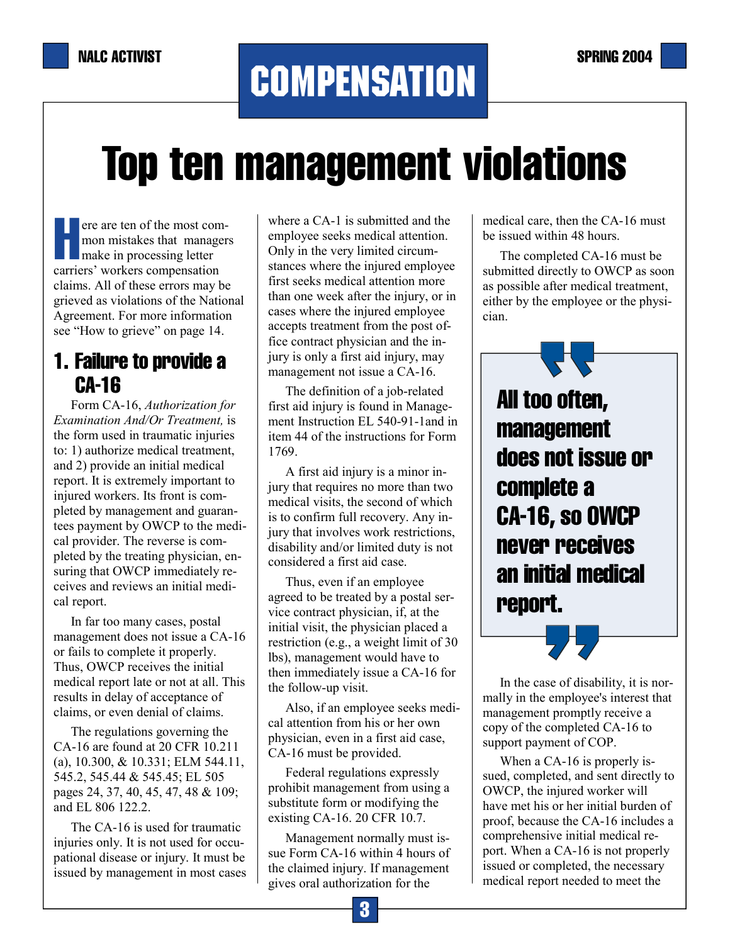# **COMPENSATION**

# Top ten management violations

ere are ten of the most com-<br>mon mistakes that manager<br>make in processing letter mon mistakes that managers carriers' workers compensation claims. All of these errors may be grieved as violations of the National Agreement. For more information see "How to grieve" on page 14.

# 1. Failure to provide a CA-16

Form CA-16, *Authorization for Examination And/Or Treatment,* is the form used in traumatic injuries to: 1) authorize medical treatment, and 2) provide an initial medical report. It is extremely important to injured workers. Its front is completed by management and guarantees payment by OWCP to the medical provider. The reverse is completed by the treating physician, ensuring that OWCP immediately receives and reviews an initial medical report.

In far too many cases, postal management does not issue a CA-16 or fails to complete it properly. Thus, OWCP receives the initial medical report late or not at all. This results in delay of acceptance of claims, or even denial of claims.

The regulations governing the CA-16 are found at 20 CFR 10.211 (a), 10.300, & 10.331; ELM 544.11, 545.2, 545.44 & 545.45; EL 505 pages 24, 37, 40, 45, 47, 48 & 109; and EL 806 122.2.

The CA-16 is used for traumatic injuries only. It is not used for occupational disease or injury. It must be issued by management in most cases where a CA-1 is submitted and the employee seeks medical attention. Only in the very limited circumstances where the injured employee first seeks medical attention more than one week after the injury, or in cases where the injured employee accepts treatment from the post office contract physician and the injury is only a first aid injury, may management not issue a CA-16.

The definition of a job-related first aid injury is found in Management Instruction EL 540-91-1and in item 44 of the instructions for Form 1769.

A first aid injury is a minor injury that requires no more than two medical visits, the second of which is to confirm full recovery. Any injury that involves work restrictions, disability and/or limited duty is not considered a first aid case.

Thus, even if an employee agreed to be treated by a postal service contract physician, if, at the initial visit, the physician placed a restriction (e.g., a weight limit of 30 lbs), management would have to then immediately issue a CA-16 for the follow-up visit.

Also, if an employee seeks medical attention from his or her own physician, even in a first aid case, CA-16 must be provided.

Federal regulations expressly prohibit management from using a substitute form or modifying the existing CA-16. 20 CFR 10.7.

Management normally must issue Form CA-16 within 4 hours of the claimed injury. If management gives oral authorization for the

medical care, then the CA-16 must be issued within 48 hours.

The completed CA-16 must be submitted directly to OWCP as soon as possible after medical treatment, either by the employee or the physician.

All too often, management does not issue or complete a CA-16, so OWCP never receives an initial medical report.

In the case of disability, it is normally in the employee's interest that management promptly receive a copy of the completed CA-16 to support payment of COP.

When a CA-16 is properly issued, completed, and sent directly to OWCP, the injured worker will have met his or her initial burden of proof, because the CA-16 includes a comprehensive initial medical report. When a CA-16 is not properly issued or completed, the necessary medical report needed to meet the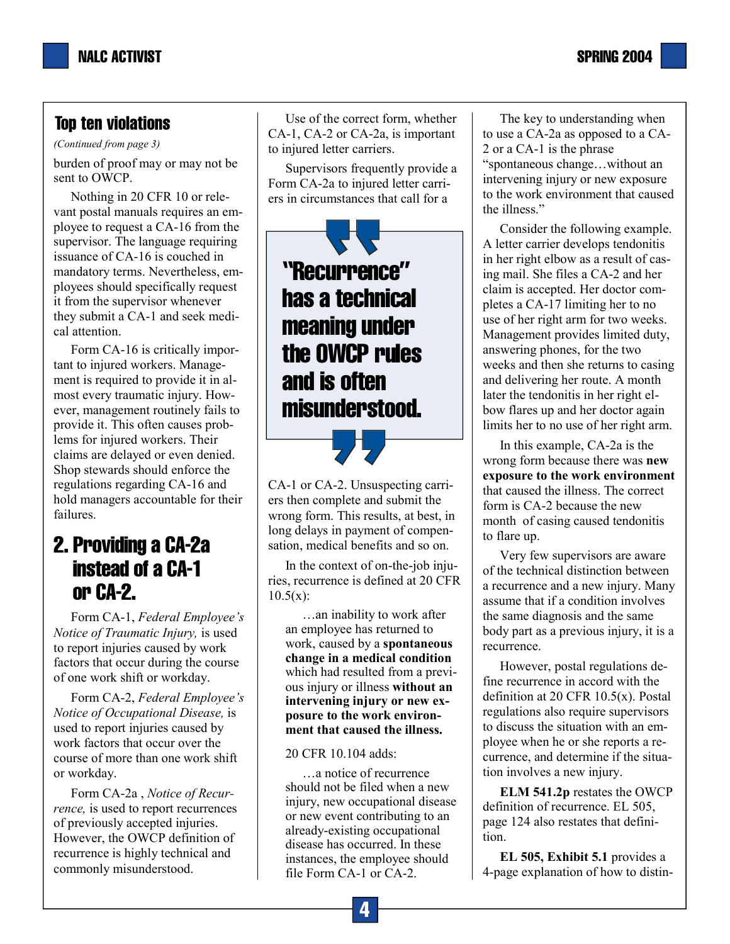*(Continued from page 3)* 

burden of proof may or may not be sent to OWCP.

Nothing in 20 CFR 10 or relevant postal manuals requires an employee to request a CA-16 from the supervisor. The language requiring issuance of CA-16 is couched in mandatory terms. Nevertheless, employees should specifically request it from the supervisor whenever they submit a CA-1 and seek medical attention.

Form CA-16 is critically important to injured workers. Management is required to provide it in almost every traumatic injury. However, management routinely fails to provide it. This often causes problems for injured workers. Their claims are delayed or even denied. Shop stewards should enforce the regulations regarding CA-16 and hold managers accountable for their failures.

# 2. Providing a CA-2a instead of a CA-1 or CA-2.

Form CA-1, *Federal Employee's Notice of Traumatic Injury,* is used to report injuries caused by work factors that occur during the course of one work shift or workday.

Form CA-2, *Federal Employee's Notice of Occupational Disease,* is used to report injuries caused by work factors that occur over the course of more than one work shift or workday.

Form CA-2a , *Notice of Recurrence,* is used to report recurrences of previously accepted injuries. However, the OWCP definition of recurrence is highly technical and commonly misunderstood.

Use of the correct form, whether CA-1, CA-2 or CA-2a, is important to injured letter carriers.

Supervisors frequently provide a Form CA-2a to injured letter carriers in circumstances that call for a

# "Recurrence" has a technical meaning under the OWCP rules and is often misunderstood.

CA-1 or CA-2. Unsuspecting carriers then complete and submit the wrong form. This results, at best, in long delays in payment of compensation, medical benefits and so on.

In the context of on-the-job injuries, recurrence is defined at 20 CFR  $10.5(x)$ :

…an inability to work after an employee has returned to work, caused by a **spontaneous change in a medical condition** which had resulted from a previous injury or illness **without an intervening injury or new exposure to the work environment that caused the illness.**

### 20 CFR 10.104 adds:

…a notice of recurrence should not be filed when a new injury, new occupational disease or new event contributing to an already-existing occupational disease has occurred. In these instances, the employee should file Form CA-1 or CA-2.

The key to understanding when to use a CA-2a as opposed to a CA-2 or a CA-1 is the phrase "spontaneous change…without an intervening injury or new exposure to the work environment that caused the illness."

Consider the following example. A letter carrier develops tendonitis in her right elbow as a result of casing mail. She files a CA-2 and her claim is accepted. Her doctor completes a CA-17 limiting her to no use of her right arm for two weeks. Management provides limited duty, answering phones, for the two weeks and then she returns to casing and delivering her route. A month later the tendonitis in her right elbow flares up and her doctor again limits her to no use of her right arm.

In this example, CA-2a is the wrong form because there was **new exposure to the work environment** that caused the illness. The correct form is CA-2 because the new month of casing caused tendonitis to flare up.

Very few supervisors are aware of the technical distinction between a recurrence and a new injury. Many assume that if a condition involves the same diagnosis and the same body part as a previous injury, it is a recurrence.

However, postal regulations define recurrence in accord with the definition at 20 CFR 10.5(x). Postal regulations also require supervisors to discuss the situation with an employee when he or she reports a recurrence, and determine if the situation involves a new injury.

**ELM 541.2p** restates the OWCP definition of recurrence. EL 505, page 124 also restates that definition.

**EL 505, Exhibit 5.1** provides a 4-page explanation of how to distin-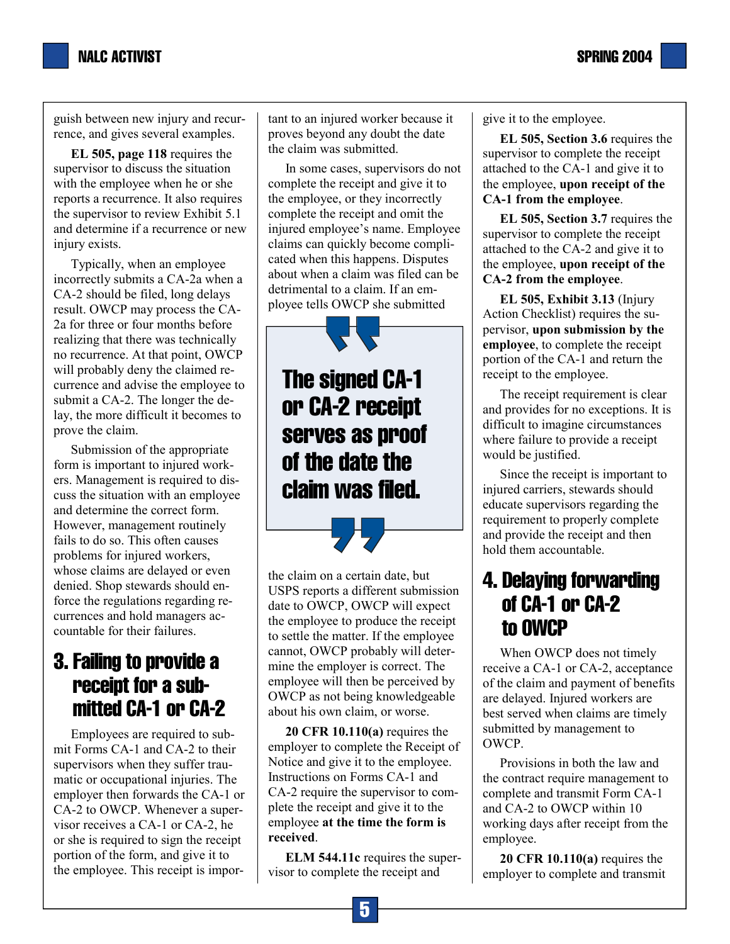

guish between new injury and recurrence, and gives several examples.

**EL 505, page 118** requires the supervisor to discuss the situation with the employee when he or she reports a recurrence. It also requires the supervisor to review Exhibit 5.1 and determine if a recurrence or new injury exists.

Typically, when an employee incorrectly submits a CA-2a when a CA-2 should be filed, long delays result. OWCP may process the CA-2a for three or four months before realizing that there was technically no recurrence. At that point, OWCP will probably deny the claimed recurrence and advise the employee to submit a CA-2. The longer the delay, the more difficult it becomes to prove the claim.

Submission of the appropriate form is important to injured workers. Management is required to discuss the situation with an employee and determine the correct form. However, management routinely fails to do so. This often causes problems for injured workers, whose claims are delayed or even denied. Shop stewards should enforce the regulations regarding recurrences and hold managers accountable for their failures.

# 3. Failing to provide a receipt for a sub mitted CA-1 or CA-2

Employees are required to submit Forms CA-1 and CA-2 to their supervisors when they suffer traumatic or occupational injuries. The employer then forwards the CA-1 or CA-2 to OWCP. Whenever a supervisor receives a CA-1 or CA-2, he or she is required to sign the receipt portion of the form, and give it to the employee. This receipt is important to an injured worker because it proves beyond any doubt the date the claim was submitted.

In some cases, supervisors do not complete the receipt and give it to the employee, or they incorrectly complete the receipt and omit the injured employee's name. Employee claims can quickly become complicated when this happens. Disputes about when a claim was filed can be detrimental to a claim. If an employee tells OWCP she submitted

The signed CA-1 or CA-2 receipt serves as proof of the date the claim was filed.

the claim on a certain date, but USPS reports a different submission date to OWCP, OWCP will expect the employee to produce the receipt to settle the matter. If the employee cannot, OWCP probably will determine the employer is correct. The employee will then be perceived by OWCP as not being knowledgeable about his own claim, or worse.

**20 CFR 10.110(a)** requires the employer to complete the Receipt of Notice and give it to the employee. Instructions on Forms CA-1 and CA-2 require the supervisor to complete the receipt and give it to the employee **at the time the form is received**.

**ELM 544.11c** requires the supervisor to complete the receipt and

give it to the employee.

**EL 505, Section 3.6** requires the supervisor to complete the receipt attached to the CA-1 and give it to the employee, **upon receipt of the CA-1 from the employee**.

**EL 505, Section 3.7** requires the supervisor to complete the receipt attached to the CA-2 and give it to the employee, **upon receipt of the CA-2 from the employee**.

**EL 505, Exhibit 3.13** (Injury Action Checklist) requires the supervisor, **upon submission by the employee**, to complete the receipt portion of the CA-1 and return the receipt to the employee.

The receipt requirement is clear and provides for no exceptions. It is difficult to imagine circumstances where failure to provide a receipt would be justified.

Since the receipt is important to injured carriers, stewards should educate supervisors regarding the requirement to properly complete and provide the receipt and then hold them accountable.

# 4. Delaying forwarding of CA-1 or CA-2 to OWCP

When OWCP does not timely receive a CA-1 or CA-2, acceptance of the claim and payment of benefits are delayed. Injured workers are best served when claims are timely submitted by management to OWCP.

Provisions in both the law and the contract require management to complete and transmit Form CA-1 and CA-2 to OWCP within 10 working days after receipt from the employee.

**20 CFR 10.110(a)** requires the employer to complete and transmit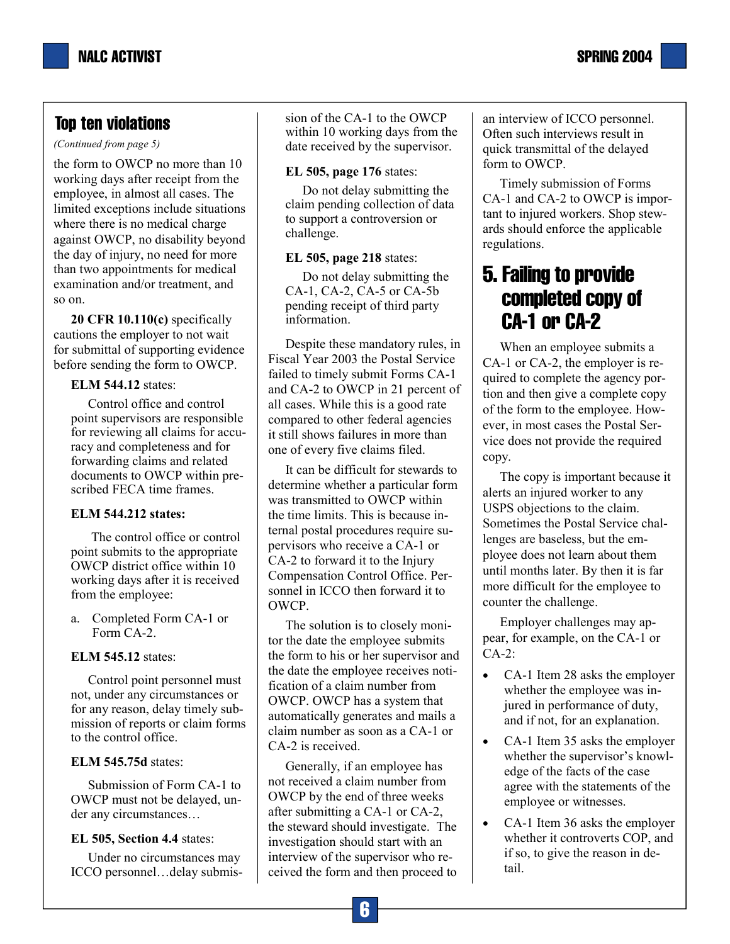*(Continued from page 5)* 

the form to OWCP no more than 10 working days after receipt from the employee, in almost all cases. The limited exceptions include situations where there is no medical charge against OWCP, no disability beyond the day of injury, no need for more than two appointments for medical examination and/or treatment, and so on.

**20 CFR 10.110(c)** specifically cautions the employer to not wait for submittal of supporting evidence before sending the form to OWCP.

#### **ELM 544.12** states:

Control office and control point supervisors are responsible for reviewing all claims for accuracy and completeness and for forwarding claims and related documents to OWCP within prescribed FECA time frames.

### **ELM 544.212 states:**

 The control office or control point submits to the appropriate OWCP district office within 10 working days after it is received from the employee:

a. Completed Form CA-1 or Form CA-2.

### **ELM 545.12** states:

Control point personnel must not, under any circumstances or for any reason, delay timely submission of reports or claim forms to the control office.

### **ELM 545.75d** states:

Submission of Form CA-1 to OWCP must not be delayed, under any circumstances…

### **EL 505, Section 4.4** states:

Under no circumstances may ICCO personnel…delay submission of the CA-1 to the OWCP within 10 working days from the date received by the supervisor.

### **EL 505, page 176** states:

Do not delay submitting the claim pending collection of data to support a controversion or challenge.

#### **EL 505, page 218** states:

Do not delay submitting the CA-1, CA-2, CA-5 or CA-5b pending receipt of third party information.

Despite these mandatory rules, in Fiscal Year 2003 the Postal Service failed to timely submit Forms CA-1 and CA-2 to OWCP in 21 percent of all cases. While this is a good rate compared to other federal agencies it still shows failures in more than one of every five claims filed.

It can be difficult for stewards to determine whether a particular form was transmitted to OWCP within the time limits. This is because internal postal procedures require supervisors who receive a CA-1 or CA-2 to forward it to the Injury Compensation Control Office. Personnel in ICCO then forward it to OWCP.

The solution is to closely monitor the date the employee submits the form to his or her supervisor and the date the employee receives notification of a claim number from OWCP. OWCP has a system that automatically generates and mails a claim number as soon as a CA-1 or CA-2 is received.

Generally, if an employee has not received a claim number from OWCP by the end of three weeks after submitting a CA-1 or CA-2, the steward should investigate. The investigation should start with an interview of the supervisor who received the form and then proceed to an interview of ICCO personnel. Often such interviews result in quick transmittal of the delayed form to OWCP.

Timely submission of Forms CA-1 and CA-2 to OWCP is important to injured workers. Shop stewards should enforce the applicable regulations.

# 5. Failing to provide completed copy of CA-1 or CA-2

When an employee submits a CA-1 or CA-2, the employer is required to complete the agency portion and then give a complete copy of the form to the employee. However, in most cases the Postal Service does not provide the required copy.

The copy is important because it alerts an injured worker to any USPS objections to the claim. Sometimes the Postal Service challenges are baseless, but the employee does not learn about them until months later. By then it is far more difficult for the employee to counter the challenge.

Employer challenges may appear, for example, on the CA-1 or CA-2:

- CA-1 Item 28 asks the employer whether the employee was injured in performance of duty, and if not, for an explanation.
- CA-1 Item 35 asks the employer whether the supervisor's knowledge of the facts of the case agree with the statements of the employee or witnesses.
- CA-1 Item 36 asks the employer whether it controverts COP, and if so, to give the reason in detail.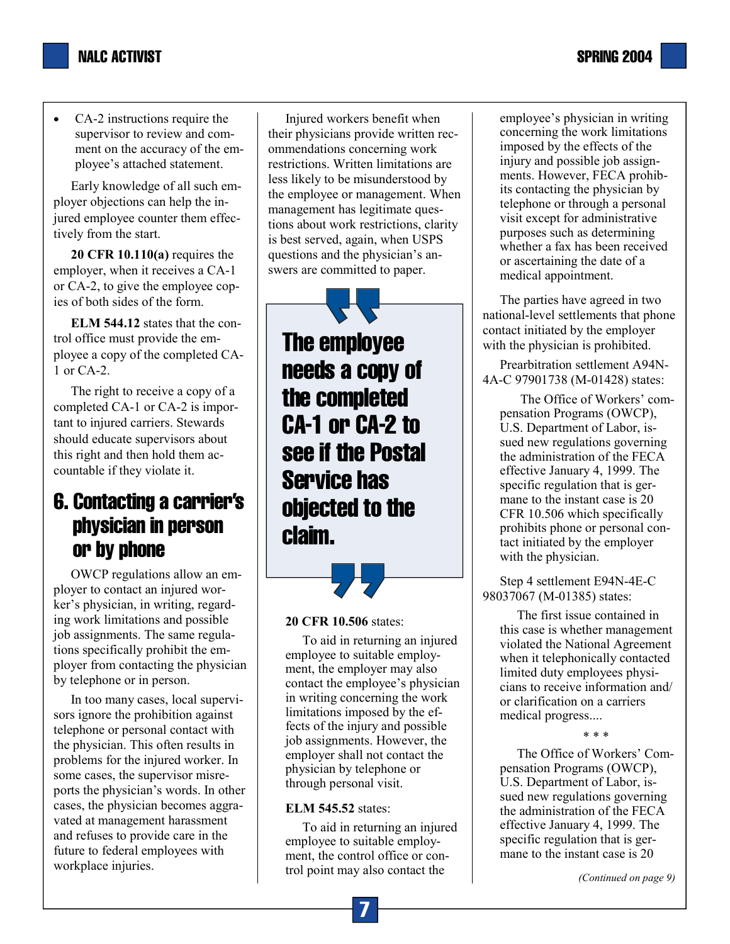

• CA-2 instructions require the supervisor to review and comment on the accuracy of the employee's attached statement.

Early knowledge of all such employer objections can help the injured employee counter them effectively from the start.

**20 CFR 10.110(a)** requires the employer, when it receives a CA-1 or CA-2, to give the employee copies of both sides of the form.

**ELM 544.12** states that the control office must provide the employee a copy of the completed CA-1 or CA-2.

The right to receive a copy of a completed CA-1 or CA-2 is important to injured carriers. Stewards should educate supervisors about this right and then hold them accountable if they violate it.

# 6. Contacting a carrier's physician in person or by phone

OWCP regulations allow an employer to contact an injured worker's physician, in writing, regarding work limitations and possible job assignments. The same regulations specifically prohibit the employer from contacting the physician by telephone or in person.

In too many cases, local supervisors ignore the prohibition against telephone or personal contact with the physician. This often results in problems for the injured worker. In some cases, the supervisor misreports the physician's words. In other cases, the physician becomes aggravated at management harassment and refuses to provide care in the future to federal employees with workplace injuries.

Injured workers benefit when their physicians provide written recommendations concerning work restrictions. Written limitations are less likely to be misunderstood by the employee or management. When management has legitimate questions about work restrictions, clarity is best served, again, when USPS questions and the physician's answers are committed to paper.

The employee needs a copy of the completed CA-1 or CA-2 to see if the Postal Service has objected to the claim.

#### **20 CFR 10.506** states:

To aid in returning an injured employee to suitable employment, the employer may also contact the employee's physician in writing concerning the work limitations imposed by the effects of the injury and possible job assignments. However, the employer shall not contact the physician by telephone or through personal visit.

#### **ELM 545.52** states:

To aid in returning an injured employee to suitable employment, the control office or control point may also contact the

employee's physician in writing concerning the work limitations imposed by the effects of the injury and possible job assignments. However, FECA prohibits contacting the physician by telephone or through a personal visit except for administrative purposes such as determining whether a fax has been received or ascertaining the date of a medical appointment.

The parties have agreed in two national-level settlements that phone contact initiated by the employer with the physician is prohibited.

Prearbitration settlement A94N-4A-C 97901738 (M-01428) states:

 The Office of Workers' compensation Programs (OWCP), U.S. Department of Labor, issued new regulations governing the administration of the FECA effective January 4, 1999. The specific regulation that is germane to the instant case is 20 CFR 10.506 which specifically prohibits phone or personal contact initiated by the employer with the physician.

Step 4 settlement E94N-4E-C 98037067 (M-01385) states:

The first issue contained in this case is whether management violated the National Agreement when it telephonically contacted limited duty employees physicians to receive information and/ or clarification on a carriers medical progress....

\* \* \*

The Office of Workers' Compensation Programs (OWCP), U.S. Department of Labor, issued new regulations governing the administration of the FECA effective January 4, 1999. The specific regulation that is germane to the instant case is 20

*(Continued on page 9)*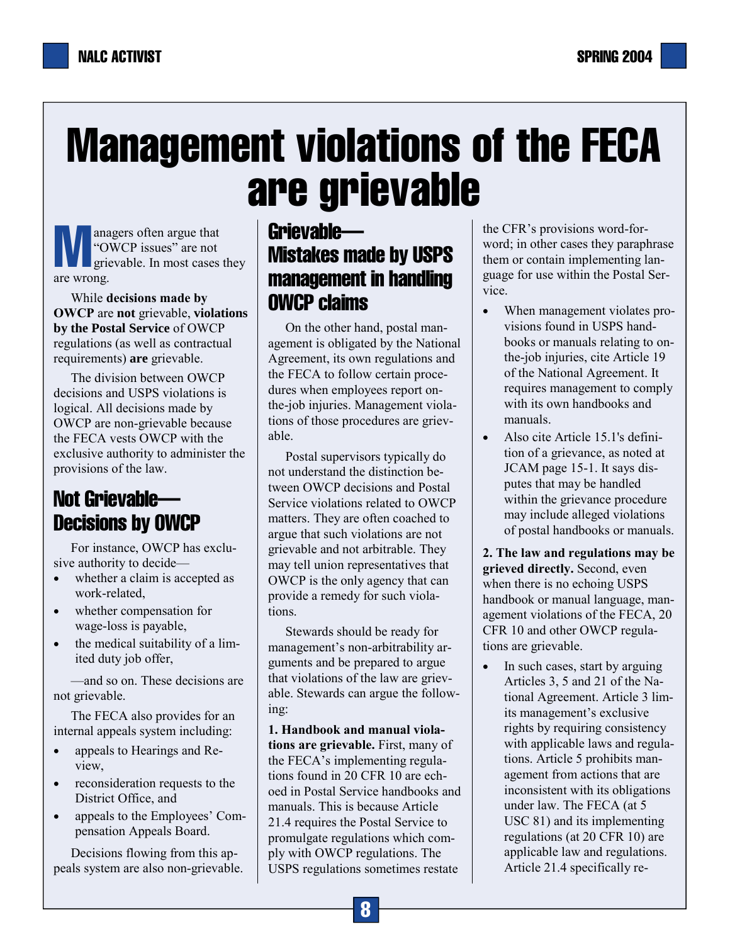# Management violations of the FECA are grievable

**M** anagers often argue that<br>
"OWCP issues" are not grievable. In most cases "OWCP issues" are not grievable. In most cases they are wrong.

While **decisions made by OWCP** are **not** grievable, **violations by the Postal Service** of OWCP regulations (as well as contractual requirements) **are** grievable.

The division between OWCP decisions and USPS violations is logical. All decisions made by OWCP are non-grievable because the FECA vests OWCP with the exclusive authority to administer the provisions of the law.

# Not Grievable— Decisions by OWCP

For instance, OWCP has exclusive authority to decide—

- whether a claim is accepted as work-related,
- whether compensation for wage-loss is payable,
- the medical suitability of a limited duty job offer,

—and so on. These decisions are not grievable.

The FECA also provides for an internal appeals system including:

- appeals to Hearings and Review,
- reconsideration requests to the District Office, and
- appeals to the Employees' Compensation Appeals Board.

Decisions flowing from this appeals system are also non-grievable.

# Grievable— Mistakes made by USPS management in handling OWCP claims

On the other hand, postal management is obligated by the National Agreement, its own regulations and the FECA to follow certain procedures when employees report onthe-job injuries. Management violations of those procedures are grievable.

Postal supervisors typically do not understand the distinction between OWCP decisions and Postal Service violations related to OWCP matters. They are often coached to argue that such violations are not grievable and not arbitrable. They may tell union representatives that OWCP is the only agency that can provide a remedy for such violations.

Stewards should be ready for management's non-arbitrability arguments and be prepared to argue that violations of the law are grievable. Stewards can argue the following:

**1. Handbook and manual violations are grievable.** First, many of the FECA's implementing regulations found in 20 CFR 10 are echoed in Postal Service handbooks and manuals. This is because Article 21.4 requires the Postal Service to promulgate regulations which comply with OWCP regulations. The USPS regulations sometimes restate

the CFR's provisions word-forword; in other cases they paraphrase them or contain implementing language for use within the Postal Service.

- When management violates provisions found in USPS handbooks or manuals relating to onthe-job injuries, cite Article 19 of the National Agreement. It requires management to comply with its own handbooks and manuals.
- Also cite Article 15.1's definition of a grievance, as noted at JCAM page 15-1. It says disputes that may be handled within the grievance procedure may include alleged violations of postal handbooks or manuals.

**2. The law and regulations may be grieved directly.** Second, even when there is no echoing USPS handbook or manual language, management violations of the FECA, 20 CFR 10 and other OWCP regulations are grievable.

In such cases, start by arguing Articles 3, 5 and 21 of the National Agreement. Article 3 limits management's exclusive rights by requiring consistency with applicable laws and regulations. Article 5 prohibits management from actions that are inconsistent with its obligations under law. The FECA (at 5 USC 81) and its implementing regulations (at 20 CFR 10) are applicable law and regulations. Article 21.4 specifically re-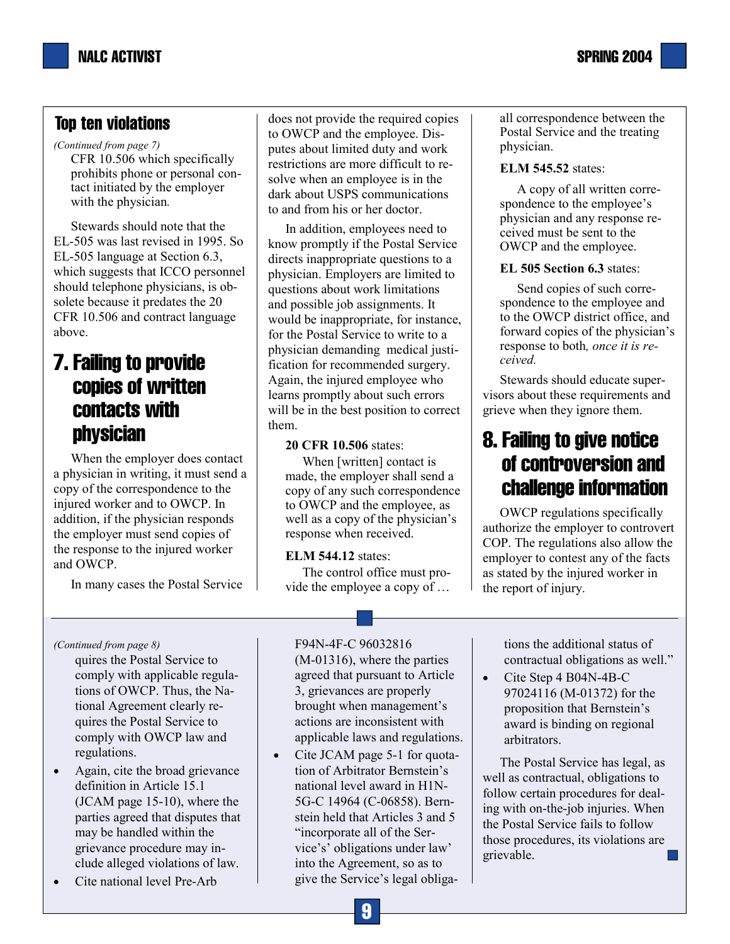with the physician*.*

CFR 10.506 which specifically prohibits phone or personal contact initiated by the employer *(Continued from page 7)* 

Stewards should note that the EL-505 was last revised in 1995. So EL-505 language at Section 6.3, which suggests that ICCO personnel should telephone physicians, is obsolete because it predates the 20 CFR 10.506 and contract language above.

# 7. Failing to provide copies of written contacts with physician

When the employer does contact a physician in writing, it must send a copy of the correspondence to the injured worker and to OWCP. In addition, if the physician responds the employer must send copies of the response to the injured worker and OWCP.

In many cases the Postal Service

does not provide the required copies to OWCP and the employee. Disputes about limited duty and work restrictions are more difficult to resolve when an employee is in the dark about USPS communications to and from his or her doctor.

In addition, employees need to know promptly if the Postal Service directs inappropriate questions to a physician. Employers are limited to questions about work limitations and possible job assignments. It would be inappropriate, for instance, for the Postal Service to write to a physician demanding medical justification for recommended surgery. Again, the injured employee who learns promptly about such errors will be in the best position to correct them.

#### **20 CFR 10.506** states:

When [written] contact is made, the employer shall send a copy of any such correspondence to OWCP and the employee, as well as a copy of the physician's response when received.

#### **ELM 544.12** states:

The control office must provide the employee a copy of … all correspondence between the Postal Service and the treating physician.

#### **ELM 545.52** states:

A copy of all written correspondence to the employee's physician and any response received must be sent to the OWCP and the employee.

#### **EL 505 Section 6.3** states:

Send copies of such correspondence to the employee and to the OWCP district office, and forward copies of the physician's response to both*, once it is received.*

Stewards should educate supervisors about these requirements and grieve when they ignore them.

# 8. Failing to give notice of controversion and challenge information

OWCP regulations specifically authorize the employer to controvert COP. The regulations also allow the employer to contest any of the facts as stated by the injured worker in the report of injury.

quires the Postal Service to comply with applicable regulations of OWCP. Thus, the National Agreement clearly requires the Postal Service to comply with OWCP law and regulations.

- Again, cite the broad grievance definition in Article 15.1 (JCAM page 15-10), where the parties agreed that disputes that may be handled within the grievance procedure may include alleged violations of law.
- Cite national level Pre-Arb

*(Continued from page 8)* F94N-4F-C 96032816 (M-01316), where the parties agreed that pursuant to Article 3, grievances are properly brought when management's actions are inconsistent with applicable laws and regulations.

> Cite JCAM page 5-1 for quotation of Arbitrator Bernstein's national level award in H1N-5G-C 14964 (C-06858). Bernstein held that Articles 3 and 5 "incorporate all of the Service's' obligations under law' into the Agreement, so as to give the Service's legal obliga-

tions the additional status of contractual obligations as well."

• Cite Step 4 B04N-4B-C 97024116 (M-01372) for the proposition that Bernstein's award is binding on regional arbitrators.

The Postal Service has legal, as well as contractual, obligations to follow certain procedures for dealing with on-the-job injuries. When the Postal Service fails to follow those procedures, its violations are grievable.  $\mathcal{L}$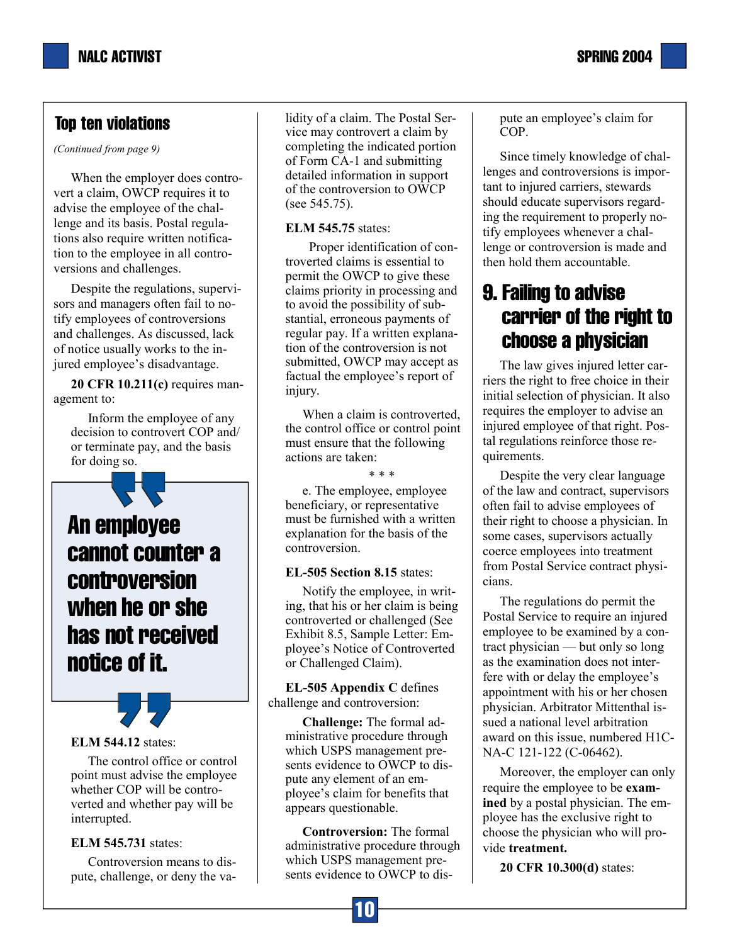*(Continued from page 9)* 

When the employer does controvert a claim, OWCP requires it to advise the employee of the challenge and its basis. Postal regulations also require written notification to the employee in all controversions and challenges.

Despite the regulations, supervisors and managers often fail to notify employees of controversions and challenges. As discussed, lack of notice usually works to the injured employee's disadvantage.

**20 CFR 10.211(c)** requires management to:

Inform the employee of any decision to controvert COP and/ or terminate pay, and the basis for doing so.

An employee cannot counter a controversion when he or she has not received notice of it.

#### **ELM 544.12** states:

The control office or control point must advise the employee whether COP will be controverted and whether pay will be interrupted.

#### **ELM 545.731** states:

Controversion means to dispute, challenge, or deny the validity of a claim. The Postal Service may controvert a claim by completing the indicated portion of Form CA-1 and submitting detailed information in support of the controversion to OWCP (see 545.75).

#### **ELM 545.75** states:

 Proper identification of controverted claims is essential to permit the OWCP to give these claims priority in processing and to avoid the possibility of substantial, erroneous payments of regular pay. If a written explanation of the controversion is not submitted, OWCP may accept as factual the employee's report of injury.

When a claim is controverted, the control office or control point must ensure that the following actions are taken:

\* \* \*

e. The employee, employee beneficiary, or representative must be furnished with a written explanation for the basis of the controversion.

#### **EL-505 Section 8.15** states:

Notify the employee, in writing, that his or her claim is being controverted or challenged (See Exhibit 8.5, Sample Letter: Employee's Notice of Controverted or Challenged Claim).

**EL-505 Appendix C** defines challenge and controversion:

**Challenge:** The formal administrative procedure through which USPS management presents evidence to OWCP to dispute any element of an employee's claim for benefits that appears questionable.

**Controversion:** The formal administrative procedure through which USPS management presents evidence to OWCP to dis-

pute an employee's claim for COP.

Since timely knowledge of challenges and controversions is important to injured carriers, stewards should educate supervisors regarding the requirement to properly notify employees whenever a challenge or controversion is made and then hold them accountable.

# 9. Failing to advise carrier of the right to choose a physician

The law gives injured letter carriers the right to free choice in their initial selection of physician. It also requires the employer to advise an injured employee of that right. Postal regulations reinforce those requirements.

Despite the very clear language of the law and contract, supervisors often fail to advise employees of their right to choose a physician. In some cases, supervisors actually coerce employees into treatment from Postal Service contract physicians.

The regulations do permit the Postal Service to require an injured employee to be examined by a contract physician — but only so long as the examination does not interfere with or delay the employee's appointment with his or her chosen physician. Arbitrator Mittenthal issued a national level arbitration award on this issue, numbered H1C-NA-C 121-122 (C-06462).

Moreover, the employer can only require the employee to be **examined** by a postal physician. The employee has the exclusive right to choose the physician who will provide **treatment.**

**20 CFR 10.300(d)** states: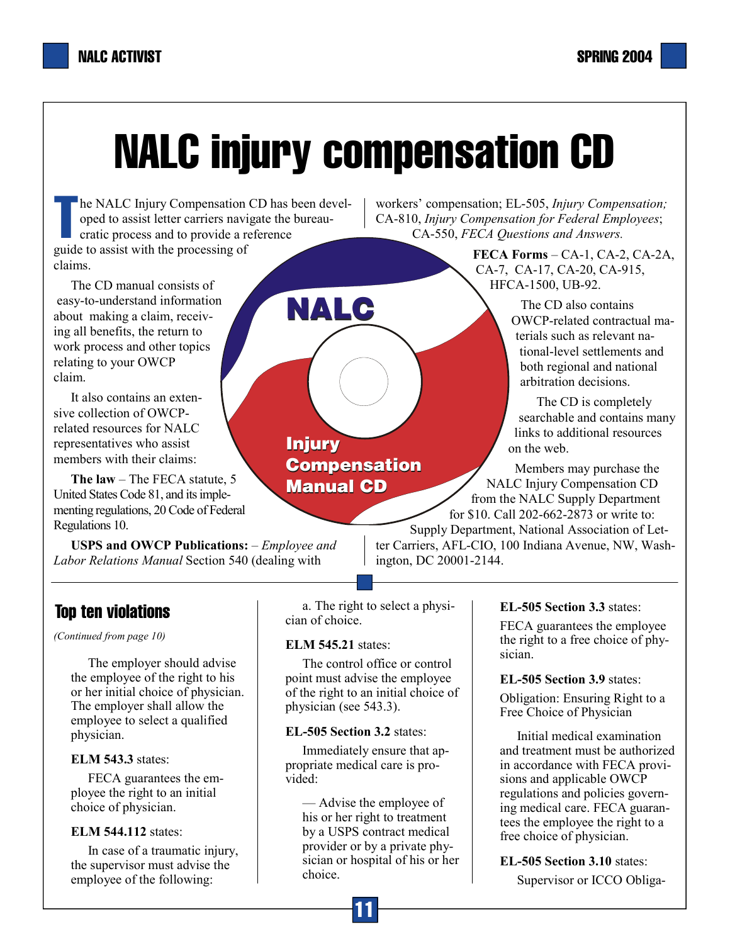# NALC injury compensation CD

**NALC**

**Injury Injury**

**Compensation**

**Manual CD**

The NALC Injury Compensation CD has been developed to assist letter carriers navigate the bureau-<br>cratic process and to provide a reference oped to assist letter carriers navigate the bureaucratic process and to provide a reference guide to assist with the processing of claims.

The CD manual consists of easy-to-understand information about making a claim, receiving all benefits, the return to work process and other topics relating to your OWCP claim.

It also contains an extensive collection of OWCPrelated resources for NALC representatives who assist members with their claims:

**The law** – The FECA statute, 5 United States Code 81, and its implementing regulations, 20 Code of Federal Regulations 10.

**USPS and OWCP Publications:** – *Employee and Labor Relations Manual* Section 540 (dealing with

workers' compensation; EL-505, *Injury Compensation;*  CA-810, *Injury Compensation for Federal Employees*; CA-550, *FECA Questions and Answers.* 

> **FECA Forms** – CA-1, CA-2, CA-2A, CA-7, CA-17, CA-20, CA-915, HFCA-1500, UB-92.

> > The CD also contains OWCP-related contractual materials such as relevant national-level settlements and both regional and national arbitration decisions.

 The CD is completely searchable and contains many links to additional resources on the web.

 Members may purchase the NALC Injury Compensation CD from the NALC Supply Department for \$10. Call 202-662-2873 or write to:

Supply Department, National Association of Letter Carriers, AFL-CIO, 100 Indiana Avenue, NW, Washington, DC 20001-2144.

# Top ten violations

*(Continued from page 10)* 

The employer should advise the employee of the right to his or her initial choice of physician. The employer shall allow the employee to select a qualified physician.

#### **ELM 543.3** states:

FECA guarantees the employee the right to an initial choice of physician.

### **ELM 544.112** states:

In case of a traumatic injury, the supervisor must advise the employee of the following:

a. The right to select a physician of choice.

### **ELM 545.21** states:

The control office or control point must advise the employee of the right to an initial choice of physician (see 543.3).

### **EL-505 Section 3.2** states:

Immediately ensure that appropriate medical care is provided:

— Advise the employee of his or her right to treatment by a USPS contract medical provider or by a private physician or hospital of his or her choice.

### **EL-505 Section 3.3** states:

FECA guarantees the employee the right to a free choice of physician.

### **EL-505 Section 3.9** states:

Obligation: Ensuring Right to a Free Choice of Physician

Initial medical examination and treatment must be authorized in accordance with FECA provisions and applicable OWCP regulations and policies governing medical care. FECA guarantees the employee the right to a free choice of physician.

**EL-505 Section 3.10** states: Supervisor or ICCO Obliga-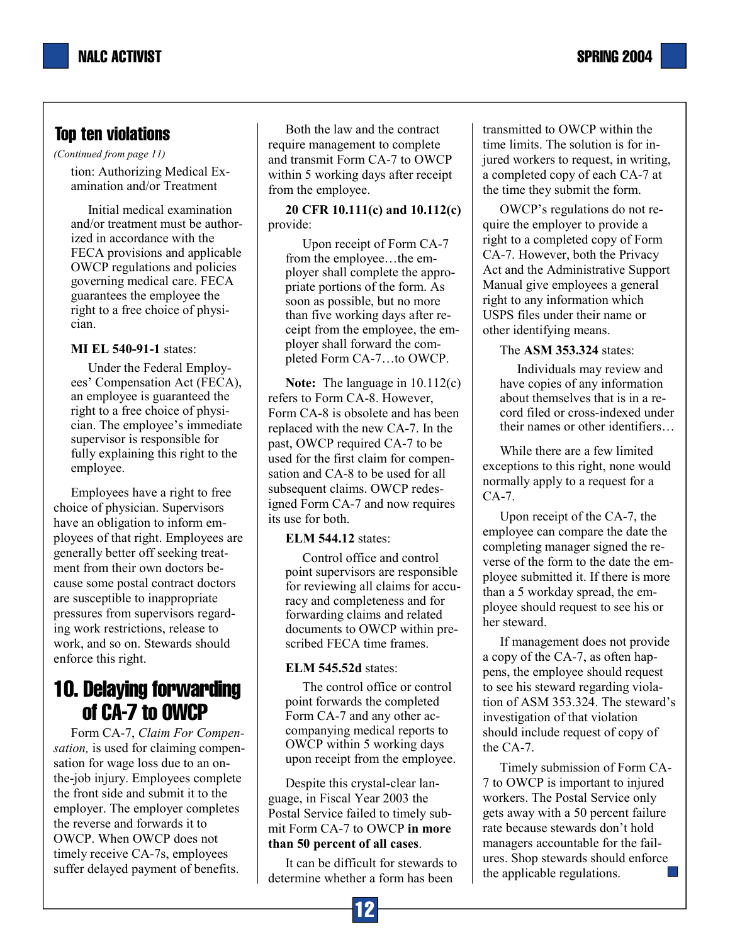*(Continued from page 11)* 

tion: Authorizing Medical Examination and/or Treatment

Initial medical examination and/or treatment must be authorized in accordance with the FECA provisions and applicable OWCP regulations and policies governing medical care. FECA guarantees the employee the right to a free choice of physician.

### **MI EL 540-91-1** states:

Under the Federal Employees' Compensation Act (FECA), an employee is guaranteed the right to a free choice of physician. The employee's immediate supervisor is responsible for fully explaining this right to the employee.

Employees have a right to free choice of physician. Supervisors have an obligation to inform employees of that right. Employees are generally better off seeking treatment from their own doctors because some postal contract doctors are susceptible to inappropriate pressures from supervisors regarding work restrictions, release to work, and so on. Stewards should enforce this right.

# 10. Delaying forwarding of CA-7 to OWCP

Form CA-7, *Claim For Compensation,* is used for claiming compensation for wage loss due to an onthe-job injury. Employees complete the front side and submit it to the employer. The employer completes the reverse and forwards it to OWCP. When OWCP does not timely receive CA-7s, employees suffer delayed payment of benefits.

Both the law and the contract require management to complete and transmit Form CA-7 to OWCP within 5 working days after receipt from the employee.

**20 CFR 10.111(c) and 10.112(c)**  provide:

Upon receipt of Form CA-7 from the employee…the employer shall complete the appropriate portions of the form. As soon as possible, but no more than five working days after receipt from the employee, the employer shall forward the completed Form CA-7…to OWCP.

**Note:** The language in 10.112(c) refers to Form CA-8. However, Form CA-8 is obsolete and has been replaced with the new CA-7. In the past, OWCP required CA-7 to be used for the first claim for compensation and CA-8 to be used for all subsequent claims. OWCP redesigned Form CA-7 and now requires its use for both.

### **ELM 544.12** states:

Control office and control point supervisors are responsible for reviewing all claims for accuracy and completeness and for forwarding claims and related documents to OWCP within prescribed FECA time frames.

### **ELM 545.52d** states:

The control office or control point forwards the completed Form CA-7 and any other accompanying medical reports to OWCP within 5 working days upon receipt from the employee.

Despite this crystal-clear language, in Fiscal Year 2003 the Postal Service failed to timely submit Form CA-7 to OWCP **in more than 50 percent of all cases**.

It can be difficult for stewards to determine whether a form has been

transmitted to OWCP within the time limits. The solution is for injured workers to request, in writing, a completed copy of each CA-7 at the time they submit the form.

OWCP's regulations do not require the employer to provide a right to a completed copy of Form CA-7. However, both the Privacy Act and the Administrative Support Manual give employees a general right to any information which USPS files under their name or other identifying means.

### The **ASM 353.324** states:

Individuals may review and have copies of any information about themselves that is in a record filed or cross-indexed under their names or other identifiers…

While there are a few limited exceptions to this right, none would normally apply to a request for a CA-7.

Upon receipt of the CA-7, the employee can compare the date the completing manager signed the reverse of the form to the date the employee submitted it. If there is more than a 5 workday spread, the employee should request to see his or her steward.

If management does not provide a copy of the CA-7, as often happens, the employee should request to see his steward regarding violation of ASM 353.324. The steward's investigation of that violation should include request of copy of the CA-7.

Timely submission of Form CA-7 to OWCP is important to injured workers. The Postal Service only gets away with a 50 percent failure rate because stewards don't hold managers accountable for the failures. Shop stewards should enforce the applicable regulations.

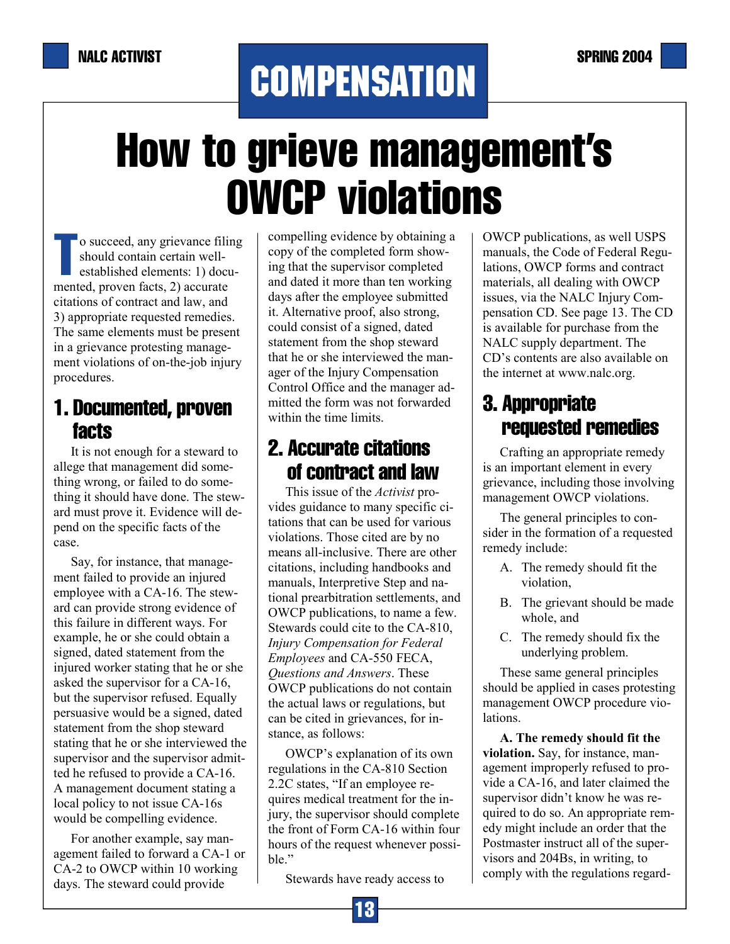# **COMPENSATION**

# How to grieve management's OWCP violations

o succeed, any grievance filing should contain certain wellestablished elements: 1) documented, proven facts, 2) accurate citations of contract and law, and 3) appropriate requested remedies. The same elements must be present in a grievance protesting management violations of on-the-job injury procedures.

# 1. Documented, proven facts

It is not enough for a steward to allege that management did something wrong, or failed to do something it should have done. The steward must prove it. Evidence will depend on the specific facts of the case.

Say, for instance, that management failed to provide an injured employee with a CA-16. The steward can provide strong evidence of this failure in different ways. For example, he or she could obtain a signed, dated statement from the injured worker stating that he or she asked the supervisor for a CA-16, but the supervisor refused. Equally persuasive would be a signed, dated statement from the shop steward stating that he or she interviewed the supervisor and the supervisor admitted he refused to provide a CA-16. A management document stating a local policy to not issue CA-16s would be compelling evidence.

For another example, say management failed to forward a CA-1 or CA-2 to OWCP within 10 working days. The steward could provide

compelling evidence by obtaining a copy of the completed form showing that the supervisor completed and dated it more than ten working days after the employee submitted it. Alternative proof, also strong, could consist of a signed, dated statement from the shop steward that he or she interviewed the manager of the Injury Compensation Control Office and the manager admitted the form was not forwarded within the time limits.

# 2. Accurate citations of contract and law

This issue of the *Activist* provides guidance to many specific citations that can be used for various violations. Those cited are by no means all-inclusive. There are other citations, including handbooks and manuals, Interpretive Step and national prearbitration settlements, and OWCP publications, to name a few. Stewards could cite to the CA-810, *Injury Compensation for Federal Employees* and CA-550 FECA, *Questions and Answers*. These OWCP publications do not contain the actual laws or regulations, but can be cited in grievances, for instance, as follows:

OWCP's explanation of its own regulations in the CA-810 Section 2.2C states, "If an employee requires medical treatment for the injury, the supervisor should complete the front of Form CA-16 within four hours of the request whenever possible."

Stewards have ready access to

OWCP publications, as well USPS manuals, the Code of Federal Regulations, OWCP forms and contract materials, all dealing with OWCP issues, via the NALC Injury Compensation CD. See page 13. The CD is available for purchase from the NALC supply department. The CD's contents are also available on the internet at www.nalc.org.

# 3. Appropriate requested remedies

Crafting an appropriate remedy is an important element in every grievance, including those involving management OWCP violations.

The general principles to consider in the formation of a requested remedy include:

- A. The remedy should fit the violation,
- B. The grievant should be made whole, and
- C. The remedy should fix the underlying problem.

These same general principles should be applied in cases protesting management OWCP procedure violations.

**A. The remedy should fit the violation.** Say, for instance, management improperly refused to provide a CA-16, and later claimed the supervisor didn't know he was required to do so. An appropriate remedy might include an order that the Postmaster instruct all of the supervisors and 204Bs, in writing, to comply with the regulations regard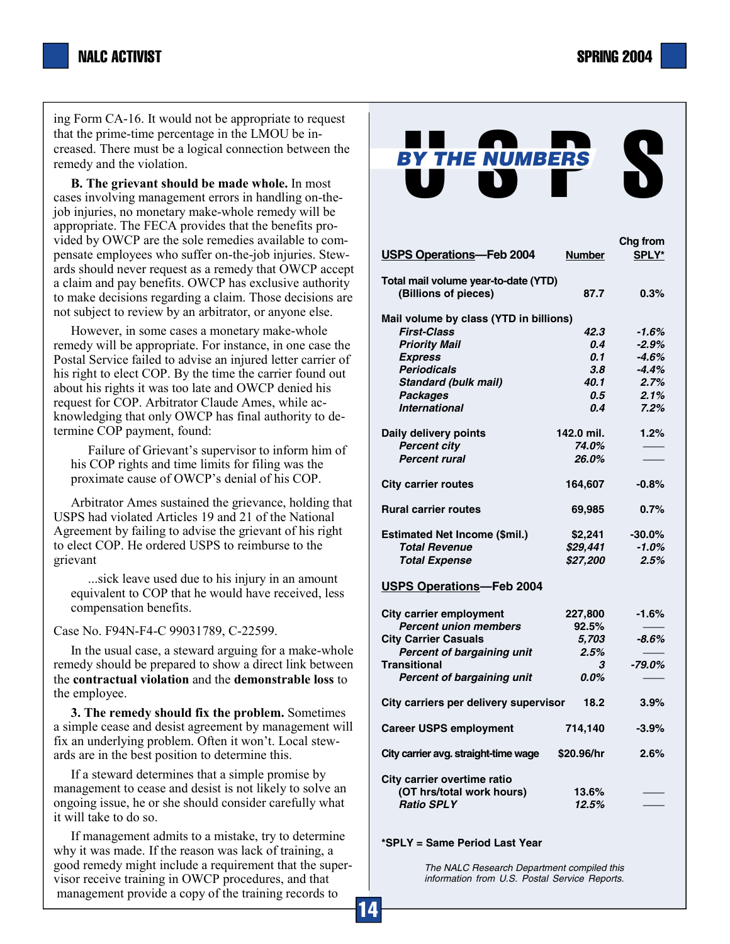ing Form CA-16. It would not be appropriate to request that the prime-time percentage in the LMOU be increased. There must be a logical connection between the remedy and the violation.

**B. The grievant should be made whole.** In most cases involving management errors in handling on-thejob injuries, no monetary make-whole remedy will be appropriate. The FECA provides that the benefits provided by OWCP are the sole remedies available to compensate employees who suffer on-the-job injuries. Stewards should never request as a remedy that OWCP accept a claim and pay benefits. OWCP has exclusive authority to make decisions regarding a claim. Those decisions are not subject to review by an arbitrator, or anyone else.

However, in some cases a monetary make-whole remedy will be appropriate. For instance, in one case the Postal Service failed to advise an injured letter carrier of his right to elect COP. By the time the carrier found out about his rights it was too late and OWCP denied his request for COP. Arbitrator Claude Ames, while acknowledging that only OWCP has final authority to determine COP payment, found:

Failure of Grievant's supervisor to inform him of his COP rights and time limits for filing was the proximate cause of OWCP's denial of his COP.

Arbitrator Ames sustained the grievance, holding that USPS had violated Articles 19 and 21 of the National Agreement by failing to advise the grievant of his right to elect COP. He ordered USPS to reimburse to the grievant

...sick leave used due to his injury in an amount equivalent to COP that he would have received, less compensation benefits.

Case No. F94N-F4-C 99031789, C-22599.

In the usual case, a steward arguing for a make-whole remedy should be prepared to show a direct link between the **contractual violation** and the **demonstrable loss** to the employee.

**3. The remedy should fix the problem.** Sometimes a simple cease and desist agreement by management will fix an underlying problem. Often it won't. Local stewards are in the best position to determine this.

If a steward determines that a simple promise by management to cease and desist is not likely to solve an ongoing issue, he or she should consider carefully what it will take to do so.

If management admits to a mistake, try to determine why it was made. If the reason was lack of training, a good remedy might include a requirement that the supervisor receive training in OWCP procedures, and that management provide a copy of the training records to

| <b>BY THE NUMBERS</b>                  |               |          |  |  |
|----------------------------------------|---------------|----------|--|--|
|                                        |               |          |  |  |
|                                        |               |          |  |  |
|                                        |               |          |  |  |
|                                        |               | Chg from |  |  |
| <b>USPS Operations-Feb 2004</b>        | <b>Number</b> | SPLY*    |  |  |
| Total mail volume year-to-date (YTD)   |               |          |  |  |
| (Billions of pieces)                   | 87.7          | 0.3%     |  |  |
| Mail volume by class (YTD in billions) |               |          |  |  |
| <b>First-Class</b>                     | 42.3          | -1.6%    |  |  |
| <b>Priority Mail</b>                   | 0.4           | $-2.9%$  |  |  |
| <b>Express</b>                         | 0.1           | -4.6%    |  |  |
| <b>Periodicals</b>                     | 3.8           | $-4.4\%$ |  |  |
| <b>Standard (bulk mail)</b>            | 40.1          | 2.7%     |  |  |
| <b>Packages</b>                        | 0.5           | 2.1%     |  |  |
| <b>International</b>                   | 0.4           | 7.2%     |  |  |
| Daily delivery points                  | 142.0 mil.    | 1.2%     |  |  |
| <b>Percent city</b>                    | 74.0%         |          |  |  |
| <b>Percent rural</b>                   | 26.0%         |          |  |  |
| <b>City carrier routes</b>             | 164,607       | $-0.8%$  |  |  |
| <b>Rural carrier routes</b>            | 69,985        | 0.7%     |  |  |
| Estimated Net Income (\$mil.)          | \$2,241       | $-30.0%$ |  |  |
| <b>Total Revenue</b>                   | \$29,441      | $-1.0%$  |  |  |
| <b>Total Expense</b>                   | \$27,200      | 2.5%     |  |  |
| <b>USPS Operations-Feb 2004</b>        |               |          |  |  |
| <b>City carrier employment</b>         | 227,800       | -1.6%    |  |  |
| <b>Percent union members</b>           | 92.5%         |          |  |  |
| <b>City Carrier Casuals</b>            | 5,703         | $-8.6%$  |  |  |
| Percent of bargaining unit             | 2.5%          |          |  |  |
| <b>Transitional</b>                    | З             | -79.0%   |  |  |
| Percent of bargaining unit             | $0.0\%$       |          |  |  |
| City carriers per delivery supervisor  | $3.9\%$       |          |  |  |
| <b>Career USPS employment</b>          | 714,140       | $-3.9%$  |  |  |
| City carrier avg. straight-time wage   | \$20.96/hr    | 2.6%     |  |  |
| City carrier overtime ratio            |               |          |  |  |
| (OT hrs/total work hours)              | 13.6%         |          |  |  |
| <b>Ratio SPLY</b>                      | 12.5%         |          |  |  |
| *SPLY = Same Period Last Year          |               |          |  |  |

*The NALC Research Department compiled this information from U.S. Postal Service Reports.*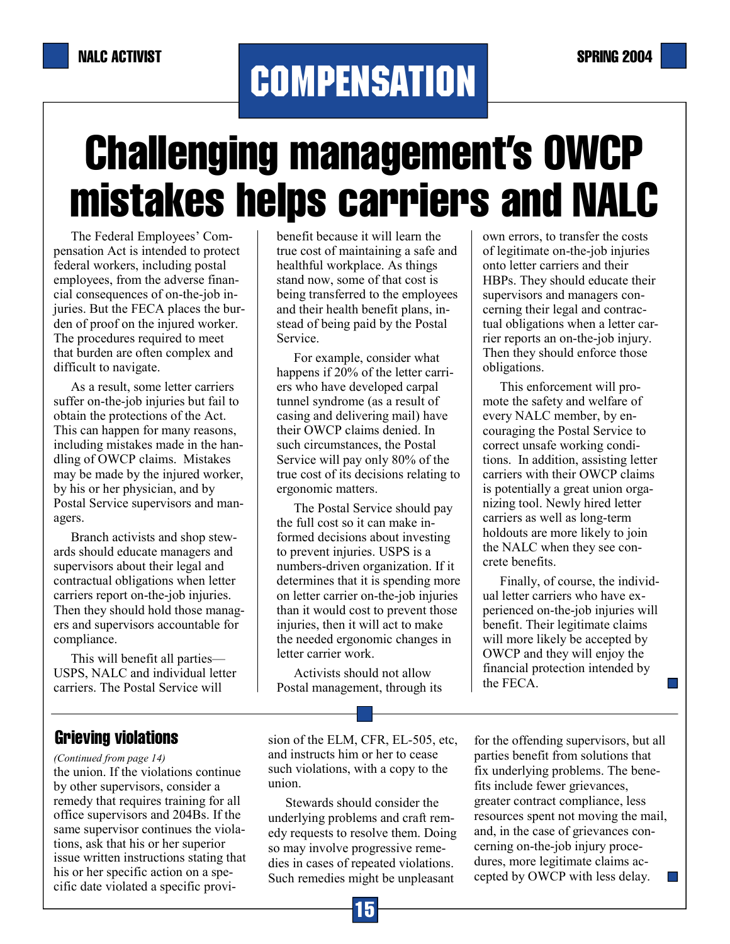# **COMPENSATION**

# Challenging management's OWCP mistakes helps carriers and NALC

benefit because it will learn the true cost of maintaining a safe and healthful workplace. As things stand now, some of that cost is being transferred to the employees and their health benefit plans, instead of being paid by the Postal

The Federal Employees' Compensation Act is intended to protect federal workers, including postal employees, from the adverse financial consequences of on-the-job injuries. But the FECA places the burden of proof on the injured worker. The procedures required to meet that burden are often complex and difficult to navigate.

As a result, some letter carriers suffer on-the-job injuries but fail to obtain the protections of the Act. This can happen for many reasons, including mistakes made in the handling of OWCP claims. Mistakes may be made by the injured worker, by his or her physician, and by Postal Service supervisors and managers.

Branch activists and shop stewards should educate managers and supervisors about their legal and contractual obligations when letter carriers report on-the-job injuries. Then they should hold those managers and supervisors accountable for compliance.

This will benefit all parties— USPS, NALC and individual letter carriers. The Postal Service will

For example, consider what happens if 20% of the letter carriers who have developed carpal tunnel syndrome (as a result of casing and delivering mail) have their OWCP claims denied. In

Service.

such circumstances, the Postal Service will pay only 80% of the true cost of its decisions relating to ergonomic matters.

The Postal Service should pay the full cost so it can make informed decisions about investing to prevent injuries. USPS is a numbers-driven organization. If it determines that it is spending more on letter carrier on-the-job injuries than it would cost to prevent those injuries, then it will act to make the needed ergonomic changes in letter carrier work.

Activists should not allow Postal management, through its

own errors, to transfer the costs of legitimate on-the-job injuries onto letter carriers and their HBPs. They should educate their supervisors and managers concerning their legal and contractual obligations when a letter carrier reports an on-the-job injury. Then they should enforce those obligations.

This enforcement will promote the safety and welfare of every NALC member, by encouraging the Postal Service to correct unsafe working conditions. In addition, assisting letter carriers with their OWCP claims is potentially a great union organizing tool. Newly hired letter carriers as well as long-term holdouts are more likely to join the NALC when they see concrete benefits.

Finally, of course, the individual letter carriers who have experienced on-the-job injuries will benefit. Their legitimate claims will more likely be accepted by OWCP and they will enjoy the financial protection intended by the FECA.

 $\Box$ 

Grieving violations

the union. If the violations continue by other supervisors, consider a remedy that requires training for all office supervisors and 204Bs. If the same supervisor continues the violations, ask that his or her superior issue written instructions stating that his or her specific action on a specific date violated a specific provi- *(Continued from page 14)* 

sion of the ELM, CFR, EL-505, etc, and instructs him or her to cease such violations, with a copy to the union.

Stewards should consider the underlying problems and craft remedy requests to resolve them. Doing so may involve progressive remedies in cases of repeated violations. Such remedies might be unpleasant

for the offending supervisors, but all parties benefit from solutions that fix underlying problems. The benefits include fewer grievances, greater contract compliance, less resources spent not moving the mail, and, in the case of grievances concerning on-the-job injury procedures, more legitimate claims accepted by OWCP with less delay.  $\Box$